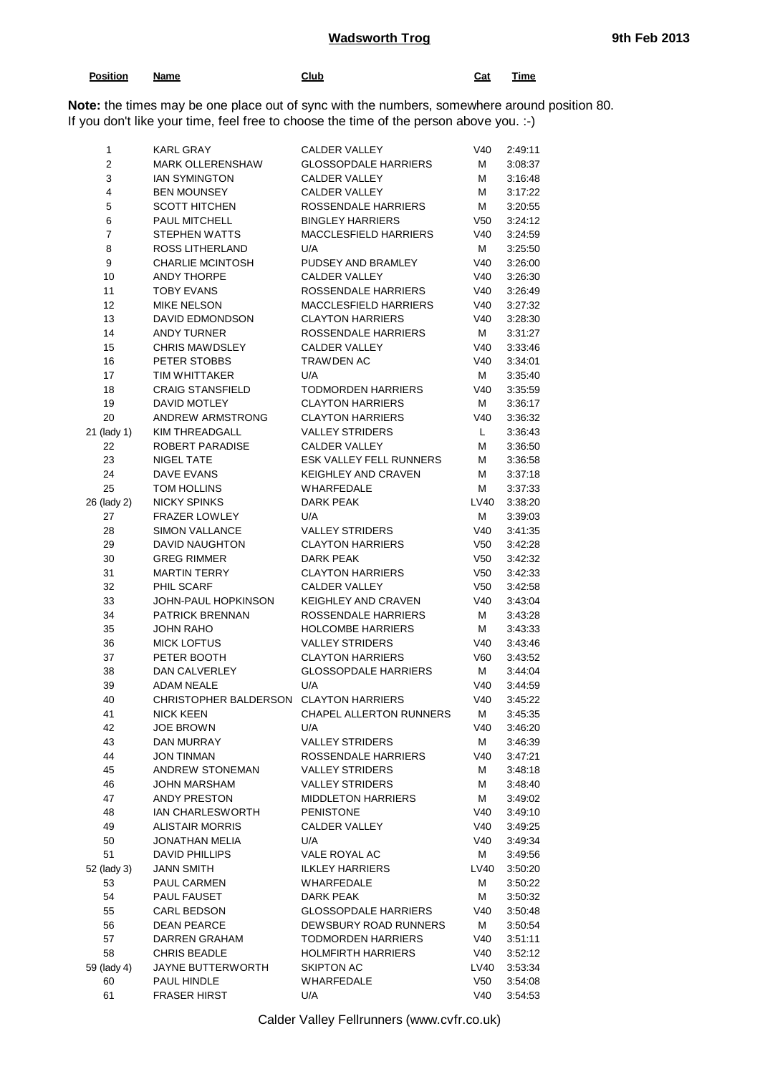## **Wadsworth Trog 9th Feb 2013**

| Position | Name | Club | Cat | Time  |
|----------|------|------|-----|-------|
|          |      | ___  |     | _____ |
|          |      |      |     |       |

**Note:** the times may be one place out of sync with the numbers, somewhere around position 80. If you don't like your time, feel free to choose the time of the person above you. :-)

| $\mathbf{1}$            | <b>KARL GRAY</b>                       | <b>CALDER VALLEY</b>           | V40             | 2:49:11 |
|-------------------------|----------------------------------------|--------------------------------|-----------------|---------|
| $\overline{\mathbf{c}}$ | <b>MARK OLLERENSHAW</b>                | <b>GLOSSOPDALE HARRIERS</b>    | М               | 3:08:37 |
| 3                       | <b>IAN SYMINGTON</b>                   | <b>CALDER VALLEY</b>           | Μ               | 3:16:48 |
| 4                       | <b>BEN MOUNSEY</b>                     | <b>CALDER VALLEY</b>           | М               | 3:17:22 |
| 5                       | <b>SCOTT HITCHEN</b>                   | ROSSENDALE HARRIERS            | М               | 3:20:55 |
| 6                       | PAUL MITCHELL                          | <b>BINGLEY HARRIERS</b>        | V <sub>50</sub> | 3:24:12 |
| $\boldsymbol{7}$        | STEPHEN WATTS                          | <b>MACCLESFIELD HARRIERS</b>   | V40             | 3:24:59 |
| 8                       | ROSS LITHERLAND                        | U/A                            | м               | 3:25:50 |
| 9                       | <b>CHARLIE MCINTOSH</b>                | PUDSEY AND BRAMLEY             | V40             | 3:26:00 |
| 10                      | <b>ANDY THORPE</b>                     | <b>CALDER VALLEY</b>           | V40             | 3:26:30 |
| 11                      | <b>TOBY EVANS</b>                      | ROSSENDALE HARRIERS            | V40             | 3:26:49 |
| 12                      | <b>MIKE NELSON</b>                     | <b>MACCLESFIELD HARRIERS</b>   | V40             | 3:27:32 |
| 13                      | <b>DAVID EDMONDSON</b>                 | <b>CLAYTON HARRIERS</b>        | V40             | 3:28:30 |
| 14                      | <b>ANDY TURNER</b>                     | ROSSENDALE HARRIERS            | м               | 3:31:27 |
| 15                      | <b>CHRIS MAWDSLEY</b>                  | <b>CALDER VALLEY</b>           | V40             | 3:33:46 |
| 16                      | PETER STOBBS                           | TRAWDEN AC                     | V40             | 3:34:01 |
| 17                      | TIM WHITTAKER                          | U/A                            | м               | 3:35:40 |
| 18                      | <b>CRAIG STANSFIELD</b>                | <b>TODMORDEN HARRIERS</b>      | V40             | 3:35:59 |
| 19                      | DAVID MOTLEY                           | <b>CLAYTON HARRIERS</b>        | м               | 3:36:17 |
| 20                      | ANDREW ARMSTRONG                       | <b>CLAYTON HARRIERS</b>        | V40             | 3:36:32 |
|                         |                                        |                                |                 |         |
| 21 (lady 1)             | <b>KIM THREADGALL</b>                  | <b>VALLEY STRIDERS</b>         | L.              | 3:36:43 |
| 22                      | ROBERT PARADISE                        | <b>CALDER VALLEY</b>           | М               | 3:36:50 |
| 23                      | <b>NIGEL TATE</b>                      | ESK VALLEY FELL RUNNERS        | м               | 3:36:58 |
| 24                      | <b>DAVE EVANS</b>                      | <b>KEIGHLEY AND CRAVEN</b>     | Μ               | 3:37:18 |
| 25                      | TOM HOLLINS                            | <b>WHARFEDALE</b>              | М               | 3:37:33 |
| 26 (lady 2)             | <b>NICKY SPINKS</b>                    | <b>DARK PEAK</b>               | LV40            | 3:38:20 |
| 27                      | <b>FRAZER LOWLEY</b>                   | U/A                            | м               | 3:39:03 |
| 28                      | <b>SIMON VALLANCE</b>                  | <b>VALLEY STRIDERS</b>         | V40             | 3:41:35 |
| 29                      | DAVID NAUGHTON                         | <b>CLAYTON HARRIERS</b>        | V50             | 3:42:28 |
| 30                      | <b>GREG RIMMER</b>                     | <b>DARK PEAK</b>               | V50             | 3:42:32 |
| 31                      | <b>MARTIN TERRY</b>                    | <b>CLAYTON HARRIERS</b>        | V50             | 3:42:33 |
| 32                      | PHIL SCARF                             | <b>CALDER VALLEY</b>           | V50             | 3:42:58 |
| 33                      | JOHN-PAUL HOPKINSON                    | <b>KEIGHLEY AND CRAVEN</b>     | V40             | 3:43:04 |
| 34                      | <b>PATRICK BRENNAN</b>                 | ROSSENDALE HARRIERS            | М               | 3:43:28 |
| 35                      | <b>JOHN RAHO</b>                       | <b>HOLCOMBE HARRIERS</b>       | М               | 3:43:33 |
| 36                      | <b>MICK LOFTUS</b>                     | <b>VALLEY STRIDERS</b>         | V40             | 3:43:46 |
| 37                      | PETER BOOTH                            | <b>CLAYTON HARRIERS</b>        | V60             | 3:43:52 |
| 38                      | DAN CALVERLEY                          | <b>GLOSSOPDALE HARRIERS</b>    | м               | 3:44:04 |
| 39                      | <b>ADAM NEALE</b>                      | U/A                            | V40             | 3:44:59 |
| 40                      | CHRISTOPHER BALDERSON CLAYTON HARRIERS |                                | V40             | 3:45:22 |
| 41                      | <b>NICK KEEN</b>                       | <b>CHAPEL ALLERTON RUNNERS</b> | M               | 3:45:35 |
| 42                      | <b>JOE BROWN</b>                       | U/A                            | V40             | 3:46:20 |
| 43                      | DAN MURRAY                             | <b>VALLEY STRIDERS</b>         | М               | 3:46:39 |
| 44                      | JON TINMAN                             | ROSSENDALE HARRIERS            | V40             | 3:47:21 |
| 45                      | ANDREW STONEMAN                        | <b>VALLEY STRIDERS</b>         | М               | 3:48:18 |
| 46                      | <b>JOHN MARSHAM</b>                    | <b>VALLEY STRIDERS</b>         | М               | 3:48:40 |
| 47                      | ANDY PRESTON                           | <b>MIDDLETON HARRIERS</b>      | м               | 3:49:02 |
| 48                      | <b>IAN CHARLESWORTH</b>                | <b>PENISTONE</b>               | V40             | 3:49:10 |
| 49                      | <b>ALISTAIR MORRIS</b>                 | <b>CALDER VALLEY</b>           | V40             | 3:49:25 |
| 50                      | JONATHAN MELIA                         | U/A                            | V40             | 3:49:34 |
| 51                      | <b>DAVID PHILLIPS</b>                  | VALE ROYAL AC                  | м               | 3:49:56 |
| 52 (lady 3)             | JANN SMITH                             | <b>ILKLEY HARRIERS</b>         | LV40            | 3:50:20 |
| 53                      | PAUL CARMEN                            | WHARFEDALE                     | м               | 3:50:22 |
| 54                      | PAUL FAUSET                            | DARK PEAK                      | М               | 3:50:32 |
| 55                      | CARL BEDSON                            | <b>GLOSSOPDALE HARRIERS</b>    | V40             | 3:50:48 |
| 56                      | <b>DEAN PEARCE</b>                     | DEWSBURY ROAD RUNNERS          | м               |         |
| 57                      | DARREN GRAHAM                          | <b>TODMORDEN HARRIERS</b>      | V40             | 3:50:54 |
| 58                      |                                        |                                |                 | 3:51:11 |
|                         | <b>CHRIS BEADLE</b>                    | <b>HOLMFIRTH HARRIERS</b>      | V40             | 3:52:12 |
| 59 (lady 4)             | JAYNE BUTTERWORTH                      | <b>SKIPTON AC</b>              | LV40            | 3:53:34 |
| 60                      | PAUL HINDLE                            | WHARFEDALE                     | V50             | 3:54:08 |
| 61                      | <b>FRASER HIRST</b>                    | U/A                            | V40             | 3:54:53 |

Calder Valley Fellrunners (www.cvfr.co.uk)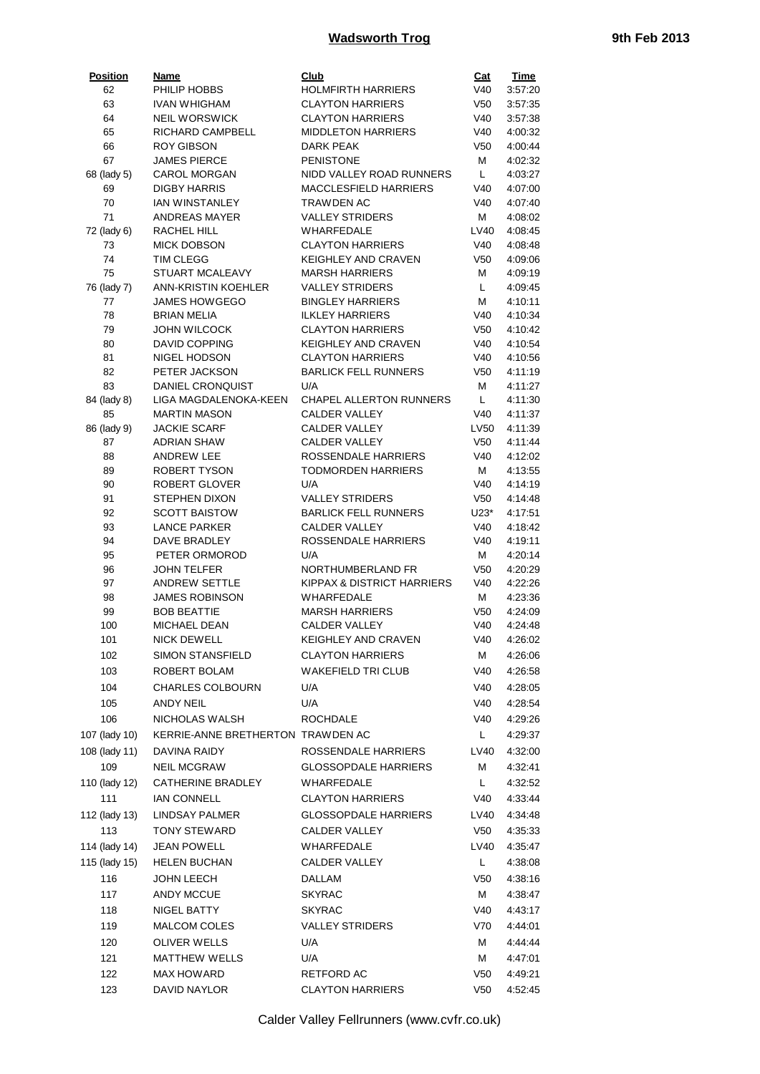## **Wadsworth Trog 19th Feb 2013**

| <b>Position</b> | <b>Name</b>                                 | <b>Club</b>                           | <u>Cat</u>      | <b>Time</b> |
|-----------------|---------------------------------------------|---------------------------------------|-----------------|-------------|
| 62              | PHILIP HOBBS                                | <b>HOLMFIRTH HARRIERS</b>             | V40             | 3:57:20     |
| 63              | <b>IVAN WHIGHAM</b>                         | <b>CLAYTON HARRIERS</b>               | V <sub>50</sub> | 3:57:35     |
| 64              | <b>NEIL WORSWICK</b>                        | <b>CLAYTON HARRIERS</b>               | V40             | 3:57:38     |
| 65              | RICHARD CAMPBELL                            | <b>MIDDLETON HARRIERS</b>             | V40             | 4:00:32     |
| 66              | <b>ROY GIBSON</b>                           | DARK PEAK                             | V <sub>50</sub> | 4:00:44     |
| 67              | <b>JAMES PIERCE</b>                         | <b>PENISTONE</b>                      | м               | 4:02:32     |
| 68 (lady 5)     | <b>CAROL MORGAN</b>                         | NIDD VALLEY ROAD RUNNERS              | L.              | 4:03:27     |
| 69              | <b>DIGBY HARRIS</b>                         | <b>MACCLESFIELD HARRIERS</b>          | V40             | 4:07:00     |
| 70              | <b>IAN WINSTANLEY</b>                       | TRAWDEN AC                            | V40             | 4:07:40     |
| 71              | <b>ANDREAS MAYER</b>                        | <b>VALLEY STRIDERS</b>                | м               | 4:08:02     |
| 72 (lady 6)     | RACHEL HILL                                 | <b>WHARFEDALE</b>                     | LV40            | 4:08:45     |
| 73              | <b>MICK DOBSON</b>                          | <b>CLAYTON HARRIERS</b>               | V40             | 4:08:48     |
| 74              | <b>TIM CLEGG</b>                            | <b>KEIGHLEY AND CRAVEN</b>            | V <sub>50</sub> | 4:09:06     |
| 75              | STUART MCALEAVY                             | <b>MARSH HARRIERS</b>                 | м               | 4:09:19     |
| 76 (lady 7)     | <b>ANN-KRISTIN KOEHLER</b>                  | <b>VALLEY STRIDERS</b>                | L.              | 4:09:45     |
| 77              | <b>JAMES HOWGEGO</b>                        | <b>BINGLEY HARRIERS</b>               | М               | 4:10:11     |
| 78              | <b>BRIAN MELIA</b>                          | <b>ILKLEY HARRIERS</b>                | V40             | 4:10:34     |
|                 |                                             | <b>CLAYTON HARRIERS</b>               |                 |             |
| 79              | <b>JOHN WILCOCK</b><br><b>DAVID COPPING</b> |                                       | V <sub>50</sub> | 4:10:42     |
| 80              |                                             | <b>KEIGHLEY AND CRAVEN</b>            | V40             | 4:10:54     |
| 81              | NIGEL HODSON                                | <b>CLAYTON HARRIERS</b>               | V40             | 4:10:56     |
| 82              | PETER JACKSON                               | <b>BARLICK FELL RUNNERS</b>           | V <sub>50</sub> | 4:11:19     |
| 83              | DANIEL CRONQUIST                            | U/A                                   | м               | 4:11:27     |
| 84 (lady 8)     | <b>LIGA MAGDALENOKA-KEEN</b>                | <b>CHAPEL ALLERTON RUNNERS</b>        | L.              | 4:11:30     |
| 85              | <b>MARTIN MASON</b>                         | <b>CALDER VALLEY</b>                  | V40             | 4:11:37     |
| 86 (lady 9)     | <b>JACKIE SCARF</b>                         | <b>CALDER VALLEY</b>                  | LV50            | 4:11:39     |
| 87              | <b>ADRIAN SHAW</b>                          | <b>CALDER VALLEY</b>                  | V <sub>50</sub> | 4:11:44     |
| 88              | <b>ANDREW LEE</b>                           | ROSSENDALE HARRIERS                   | V40             | 4:12:02     |
| 89              | ROBERT TYSON                                | <b>TODMORDEN HARRIERS</b>             | м               | 4:13:55     |
| 90              | <b>ROBERT GLOVER</b>                        | U/A                                   | V40             | 4:14:19     |
| 91              | <b>STEPHEN DIXON</b>                        | <b>VALLEY STRIDERS</b>                | V <sub>50</sub> | 4:14:48     |
| 92              | <b>SCOTT BAISTOW</b>                        | <b>BARLICK FELL RUNNERS</b>           | U23*            | 4:17:51     |
| 93              | <b>LANCE PARKER</b>                         | CALDER VALLEY                         | V40             | 4:18:42     |
| 94              | DAVE BRADLEY                                | ROSSENDALE HARRIERS                   | V40             | 4:19:11     |
| 95              | PETER ORMOROD                               | U/A                                   | м               | 4:20:14     |
| 96              | <b>JOHN TELFER</b>                          | NORTHUMBERLAND FR                     | V <sub>50</sub> | 4:20:29     |
| 97              | <b>ANDREW SETTLE</b>                        | <b>KIPPAX &amp; DISTRICT HARRIERS</b> | V40             | 4:22:26     |
| 98              | <b>JAMES ROBINSON</b>                       | WHARFEDALE                            | м               | 4:23:36     |
| 99              | <b>BOB BEATTIE</b>                          | <b>MARSH HARRIERS</b>                 | V <sub>50</sub> | 4:24:09     |
| 100             | MICHAEL DEAN                                | <b>CALDER VALLEY</b>                  | V40             | 4:24:48     |
| 101             | <b>NICK DEWELL</b>                          | KEIGHLEY AND CRAVEN                   | V40             | 4:26:02     |
| 102             | <b>SIMON STANSFIELD</b>                     | <b>CLAYTON HARRIERS</b>               | м               | 4:26:06     |
|                 |                                             | <b>WAKEFIELD TRI CLUB</b>             |                 |             |
| 103             | ROBERT BOLAM                                |                                       | V40             | 4:26:58     |
| 104             | <b>CHARLES COLBOURN</b>                     | U/A                                   | V40             | 4:28:05     |
| 105             | <b>ANDY NEIL</b>                            | U/A                                   | V40             | 4:28:54     |
| 106             | NICHOLAS WALSH                              | <b>ROCHDALE</b>                       | V40             | 4:29:26     |
| 107 (lady 10)   | KERRIE-ANNE BRETHERTON TRAWDEN AC           |                                       | L,              | 4:29:37     |
| 108 (lady 11)   | DAVINA RAIDY                                | ROSSENDALE HARRIERS                   | LV40            | 4:32:00     |
| 109             |                                             | <b>GLOSSOPDALE HARRIERS</b>           | м               | 4:32:41     |
|                 | <b>NEIL MCGRAW</b>                          |                                       |                 |             |
| 110 (lady 12)   | CATHERINE BRADLEY                           | WHARFEDALE                            | L.              | 4:32:52     |
| 111             | <b>IAN CONNELL</b>                          | <b>CLAYTON HARRIERS</b>               | V40             | 4:33:44     |
| 112 (lady 13)   | <b>LINDSAY PALMER</b>                       | <b>GLOSSOPDALE HARRIERS</b>           | LV40            | 4:34:48     |
| 113             | <b>TONY STEWARD</b>                         | CALDER VALLEY                         | V50             | 4:35:33     |
| 114 (lady 14)   | <b>JEAN POWELL</b>                          | WHARFEDALE                            | LV40            | 4:35:47     |
|                 |                                             |                                       |                 |             |
| 115 (lady 15)   | <b>HELEN BUCHAN</b>                         | CALDER VALLEY                         | L.              | 4:38:08     |
| 116             | JOHN LEECH                                  | DALLAM                                | V50             | 4:38:16     |
| 117             | ANDY MCCUE                                  | <b>SKYRAC</b>                         | м               | 4:38:47     |
| 118             | NIGEL BATTY                                 | <b>SKYRAC</b>                         | V40             | 4:43:17     |
| 119             | <b>MALCOM COLES</b>                         | <b>VALLEY STRIDERS</b>                | V70             | 4:44:01     |
|                 | <b>OLIVER WELLS</b>                         | U/A                                   | м               |             |
| 120             |                                             |                                       |                 | 4:44:44     |
| 121             | <b>MATTHEW WELLS</b>                        | U/A                                   | м               | 4:47:01     |
| 122             | <b>MAX HOWARD</b>                           | RETFORD AC                            | V50             | 4:49:21     |
| 123             | DAVID NAYLOR                                | <b>CLAYTON HARRIERS</b>               | V <sub>50</sub> | 4:52:45     |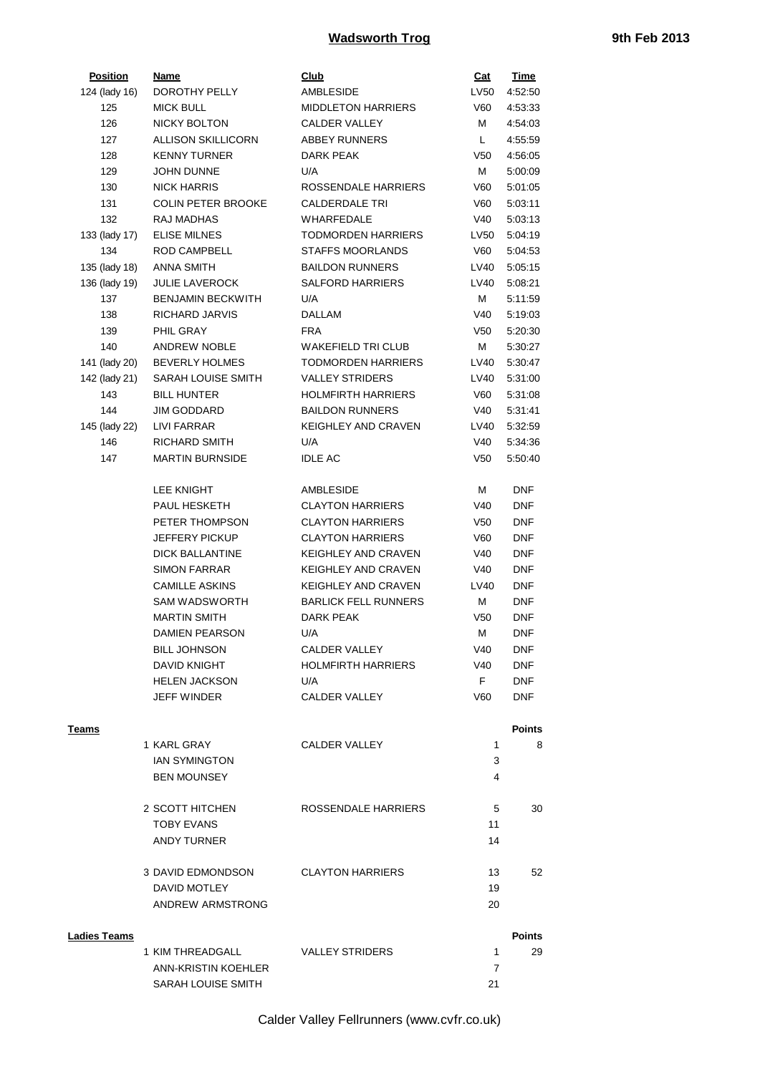## **Wadsworth Trog 19th Feb 2013**

| <b>Position</b>     | <b>Name</b>               | <b>Club</b>                 | <u>Cat</u>      | <b>Time</b>   |
|---------------------|---------------------------|-----------------------------|-----------------|---------------|
| 124 (lady 16)       | DOROTHY PELLY             | <b>AMBLESIDE</b>            | LV50            | 4:52:50       |
| 125                 | <b>MICK BULL</b>          | <b>MIDDLETON HARRIERS</b>   | V60             | 4:53:33       |
| 126                 | <b>NICKY BOLTON</b>       | <b>CALDER VALLEY</b>        | м               | 4:54:03       |
| 127                 | <b>ALLISON SKILLICORN</b> | <b>ABBEY RUNNERS</b>        | L.              | 4:55:59       |
| 128                 | <b>KENNY TURNER</b>       | DARK PEAK                   | V <sub>50</sub> | 4:56:05       |
| 129                 | <b>JOHN DUNNE</b>         | U/A                         | М               | 5:00:09       |
| 130                 | <b>NICK HARRIS</b>        | ROSSENDALE HARRIERS         | V60             | 5:01:05       |
| 131                 | <b>COLIN PETER BROOKE</b> | <b>CALDERDALE TRI</b>       | V60             | 5:03:11       |
| 132                 | <b>RAJ MADHAS</b>         | <b>WHARFEDALE</b>           | V40             | 5:03:13       |
| 133 (lady 17)       | <b>ELISE MILNES</b>       | <b>TODMORDEN HARRIERS</b>   | LV50            | 5:04:19       |
| 134                 | ROD CAMPBELL              | <b>STAFFS MOORLANDS</b>     | V60             | 5:04:53       |
| 135 (lady 18)       | <b>ANNA SMITH</b>         | <b>BAILDON RUNNERS</b>      | LV40            | 5:05:15       |
| 136 (lady 19)       | <b>JULIE LAVEROCK</b>     | <b>SALFORD HARRIERS</b>     | LV40            | 5:08:21       |
| 137                 | <b>BENJAMIN BECKWITH</b>  | U/A                         | м               | 5:11:59       |
| 138                 | RICHARD JARVIS            | DALLAM                      | V40             | 5:19:03       |
| 139                 | PHIL GRAY                 | <b>FRA</b>                  | V <sub>50</sub> | 5:20:30       |
| 140                 | <b>ANDREW NOBLE</b>       | WAKEFIELD TRI CLUB          | М               | 5:30:27       |
| 141 (lady 20)       | <b>BEVERLY HOLMES</b>     | <b>TODMORDEN HARRIERS</b>   | LV40            | 5:30:47       |
| 142 (lady 21)       | SARAH LOUISE SMITH        | <b>VALLEY STRIDERS</b>      | LV40            | 5:31:00       |
| 143                 | <b>BILL HUNTER</b>        | <b>HOLMFIRTH HARRIERS</b>   | V60             | 5:31:08       |
| 144                 | <b>JIM GODDARD</b>        | <b>BAILDON RUNNERS</b>      | V40             | 5:31:41       |
| 145 (lady 22)       | LIVI FARRAR               | <b>KEIGHLEY AND CRAVEN</b>  | LV40            | 5:32:59       |
| 146                 | <b>RICHARD SMITH</b>      | U/A                         | V40             | 5:34:36       |
| 147                 | <b>MARTIN BURNSIDE</b>    | <b>IDLE AC</b>              | V <sub>50</sub> | 5:50:40       |
|                     |                           |                             |                 |               |
|                     | <b>LEE KNIGHT</b>         | AMBLESIDE                   | М               | <b>DNF</b>    |
|                     |                           |                             |                 | <b>DNF</b>    |
|                     | PAUL HESKETH              | <b>CLAYTON HARRIERS</b>     | V40             |               |
|                     | PETER THOMPSON            | <b>CLAYTON HARRIERS</b>     | V <sub>50</sub> | <b>DNF</b>    |
|                     | <b>JEFFERY PICKUP</b>     | <b>CLAYTON HARRIERS</b>     | V60             | <b>DNF</b>    |
|                     | <b>DICK BALLANTINE</b>    | <b>KEIGHLEY AND CRAVEN</b>  | V40             | <b>DNF</b>    |
|                     | <b>SIMON FARRAR</b>       | <b>KEIGHLEY AND CRAVEN</b>  | V40             | <b>DNF</b>    |
|                     | <b>CAMILLE ASKINS</b>     | <b>KEIGHLEY AND CRAVEN</b>  | LV40            | <b>DNF</b>    |
|                     | <b>SAM WADSWORTH</b>      | <b>BARLICK FELL RUNNERS</b> | M               | <b>DNF</b>    |
|                     | <b>MARTIN SMITH</b>       | <b>DARK PEAK</b>            | V <sub>50</sub> | <b>DNF</b>    |
|                     | <b>DAMIEN PEARSON</b>     | U/A                         | М               | <b>DNF</b>    |
|                     | <b>BILL JOHNSON</b>       | CALDER VALLEY               | V40             | <b>DNF</b>    |
|                     | <b>DAVID KNIGHT</b>       | <b>HOLMFIRTH HARRIERS</b>   | V40             | <b>DNF</b>    |
|                     | <b>HELEN JACKSON</b>      | U/A                         | F.              | <b>DNF</b>    |
|                     | <b>JEFF WINDER</b>        | <b>CALDER VALLEY</b>        | V60             | <b>DNF</b>    |
|                     |                           |                             |                 |               |
| Teams               |                           |                             |                 | <b>Points</b> |
|                     | 1 KARL GRAY               | CALDER VALLEY               | 1               | 8             |
|                     | <b>IAN SYMINGTON</b>      |                             | 3               |               |
|                     | <b>BEN MOUNSEY</b>        |                             | 4               |               |
|                     | 2 SCOTT HITCHEN           | ROSSENDALE HARRIERS         | 5               | 30            |
|                     | <b>TOBY EVANS</b>         |                             | 11              |               |
|                     | <b>ANDY TURNER</b>        |                             | 14              |               |
|                     |                           |                             |                 |               |
|                     | 3 DAVID EDMONDSON         | <b>CLAYTON HARRIERS</b>     | 13              | 52            |
|                     | DAVID MOTLEY              |                             | 19              |               |
|                     | ANDREW ARMSTRONG          |                             | 20              |               |
|                     |                           |                             |                 |               |
| <b>Ladies Teams</b> |                           |                             |                 | <b>Points</b> |
|                     | 1 KIM THREADGALL          | <b>VALLEY STRIDERS</b>      | $\mathbf{1}$    | 29            |
|                     | ANN-KRISTIN KOEHLER       |                             | $\overline{7}$  |               |
|                     | SARAH LOUISE SMITH        |                             | 21              |               |
|                     |                           |                             |                 |               |